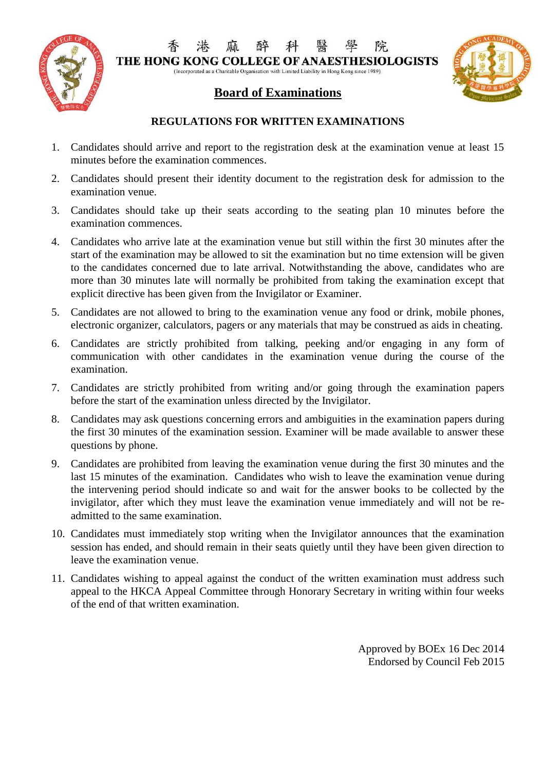

院 THE HONG KONG COLLEGE OF ANAESTHESIOLOGISTS

(Incorporated as a Charitable Organisation with Limited Liability in Hong Kong since 1989)

## **Board of Examinations**



### **REGULATIONS FOR WRITTEN EXAMINATIONS**

- 1. Candidates should arrive and report to the registration desk at the examination venue at least 15 minutes before the examination commences.
- 2. Candidates should present their identity document to the registration desk for admission to the examination venue.
- 3. Candidates should take up their seats according to the seating plan 10 minutes before the examination commences.
- 4. Candidates who arrive late at the examination venue but still within the first 30 minutes after the start of the examination may be allowed to sit the examination but no time extension will be given to the candidates concerned due to late arrival. Notwithstanding the above, candidates who are more than 30 minutes late will normally be prohibited from taking the examination except that explicit directive has been given from the Invigilator or Examiner.
- 5. Candidates are not allowed to bring to the examination venue any food or drink, mobile phones, electronic organizer, calculators, pagers or any materials that may be construed as aids in cheating.
- 6. Candidates are strictly prohibited from talking, peeking and/or engaging in any form of communication with other candidates in the examination venue during the course of the examination.
- 7. Candidates are strictly prohibited from writing and/or going through the examination papers before the start of the examination unless directed by the Invigilator.
- 8. Candidates may ask questions concerning errors and ambiguities in the examination papers during the first 30 minutes of the examination session. Examiner will be made available to answer these questions by phone.
- 9. Candidates are prohibited from leaving the examination venue during the first 30 minutes and the last 15 minutes of the examination. Candidates who wish to leave the examination venue during the intervening period should indicate so and wait for the answer books to be collected by the invigilator, after which they must leave the examination venue immediately and will not be readmitted to the same examination.
- 10. Candidates must immediately stop writing when the Invigilator announces that the examination session has ended, and should remain in their seats quietly until they have been given direction to leave the examination venue.
- 11. Candidates wishing to appeal against the conduct of the written examination must address such appeal to the HKCA Appeal Committee through Honorary Secretary in writing within four weeks of the end of that written examination.

Approved by BOEx 16 Dec 2014 Endorsed by Council Feb 2015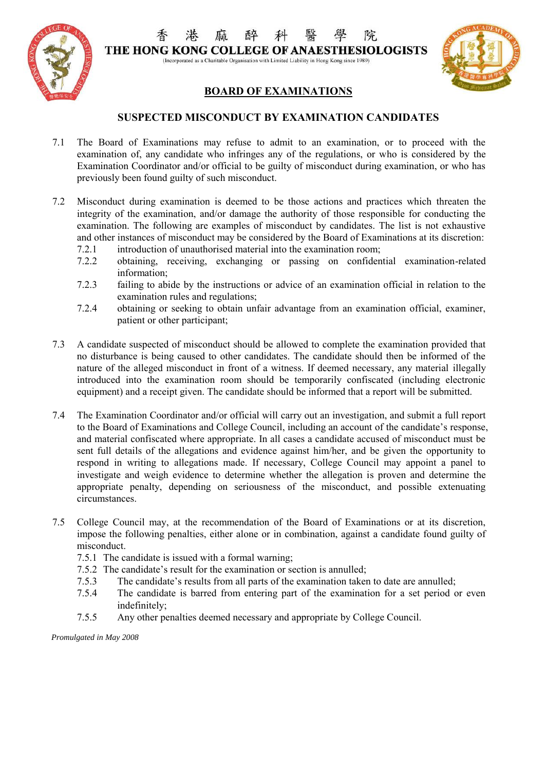

院 THE HONG KONG COLLEGE OF ANAESTHESIOLOGISTS (Incorporated as a Charitable Organisation with Limited Liability in Hong Kong since 1989)

### **BOARD OF EXAMINATIONS**

#### **SUSPECTED MISCONDUCT BY EXAMINATION CANDIDATES**

- 7.1 The Board of Examinations may refuse to admit to an examination, or to proceed with the examination of, any candidate who infringes any of the regulations, or who is considered by the Examination Coordinator and/or official to be guilty of misconduct during examination, or who has previously been found guilty of such misconduct.
- 7.2 Misconduct during examination is deemed to be those actions and practices which threaten the integrity of the examination, and/or damage the authority of those responsible for conducting the examination. The following are examples of misconduct by candidates. The list is not exhaustive and other instances of misconduct may be considered by the Board of Examinations at its discretion:
	- 7.2.1 introduction of unauthorised material into the examination room;
	- 7.2.2 obtaining, receiving, exchanging or passing on confidential examination-related information;
	- 7.2.3 failing to abide by the instructions or advice of an examination official in relation to the examination rules and regulations;
	- 7.2.4 obtaining or seeking to obtain unfair advantage from an examination official, examiner, patient or other participant;
- 7.3 A candidate suspected of misconduct should be allowed to complete the examination provided that no disturbance is being caused to other candidates. The candidate should then be informed of the nature of the alleged misconduct in front of a witness. If deemed necessary, any material illegally introduced into the examination room should be temporarily confiscated (including electronic equipment) and a receipt given. The candidate should be informed that a report will be submitted.
- 7.4 The Examination Coordinator and/or official will carry out an investigation, and submit a full report to the Board of Examinations and College Council, including an account of the candidate's response, and material confiscated where appropriate. In all cases a candidate accused of misconduct must be sent full details of the allegations and evidence against him/her, and be given the opportunity to respond in writing to allegations made. If necessary, College Council may appoint a panel to investigate and weigh evidence to determine whether the allegation is proven and determine the appropriate penalty, depending on seriousness of the misconduct, and possible extenuating circumstances.
- 7.5 College Council may, at the recommendation of the Board of Examinations or at its discretion, impose the following penalties, either alone or in combination, against a candidate found guilty of misconduct.
	- 7.5.1 The candidate is issued with a formal warning;
	- 7.5.2 The candidate's result for the examination or section is annulled;
	- 7.5.3 The candidate's results from all parts of the examination taken to date are annulled;
	- 7.5.4 The candidate is barred from entering part of the examination for a set period or even indefinitely;
	- 7.5.5 Any other penalties deemed necessary and appropriate by College Council.

*Promulgated in May 2008*